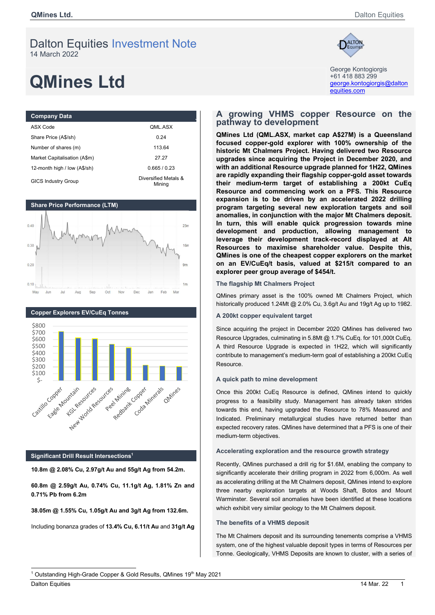# Dalton Equities Investment Note 14 March 2022

# **QMines Ltd** and the control of the control of the control of the control of the control of the control of the control of the control of the control of the control of the control of the control of the control of the contro

| <b>Company Data</b>          |                                |
|------------------------------|--------------------------------|
| ASX Code                     | QML.ASX                        |
| Share Price (A\$/sh)         | 0.24                           |
| Number of shares (m)         | 113.64                         |
| Market Capitalisation (A\$m) | 27.27                          |
| 12-month high / low (A\$/sh) | 0.665/0.23                     |
| <b>GICS Industry Group</b>   | Diversified Metals &<br>Minina |





# Significant Drill Result Intersections<sup>1</sup>

10.8m @ 2.08% Cu, 2.97g/t Au and 55g/t Ag from 54.2m.

60.8m @ 2.59g/t Au, 0.74% Cu, 11.1g/t Ag, 1.81% Zn and 0.71% Pb from 6.2m

38.05m @ 1.55% Cu, 1.05g/t Au and 3g/t Ag from 132.6m.

Including bonanza grades of 13.4% Cu, 6.11/t Au and 31g/t Ag



George Kontogiorgis +61 418 883 299 equities.com

## A growing VHMS copper Resource on the pathway to development

QMines Ltd (QML.ASX, market cap A\$27M) is a Queensland focused copper-gold explorer with 100% ownership of the historic Mt Chalmers Project. Having delivered two Resource upgrades since acquiring the Project in December 2020, and with an additional Resource upgrade planned for 1H22, QMines are rapidly expanding their flagship copper-gold asset towards their medium-term target of establishing a 200kt CuEq Resource and commencing work on a PFS. This Resource expansion is to be driven by an accelerated 2022 drilling program targeting several new exploration targets and soil anomalies, in conjunction with the major Mt Chalmers deposit. In turn, this will enable quick progression towards mine development and production, allowing management to leverage their development track-record displayed at Alt Resources to maximise shareholder value. Despite this, QMines is one of the cheapest copper explorers on the market on an EV/CuEq/t basis, valued at \$215/t compared to an explorer peer group average of \$454/t.

#### The flagship Mt Chalmers Project

QMines primary asset is the 100% owned Mt Chalmers Project, which historically produced 1.24Mt @ 2.0% Cu, 3.6g/t Au and 19g/t Ag up to 1982.

#### A 200kt copper equivalent target

Since acquiring the project in December 2020 QMines has delivered two Resource Upgrades, culminating in 5.8Mt @ 1.7% CuEq. for 101,000t CuEq. A third Resource Upgrade is expected in 1H22, which will significantly contribute to management's medium-term goal of establishing a 200kt CuEq Resource.

#### A quick path to mine development

Once this 200kt CuEq Resource is defined, QMines intend to quickly progress to a feasibility study. Management has already taken strides towards this end, having upgraded the Resource to 78% Measured and Indicated. Preliminary metallurgical studies have returned better than expected recovery rates. QMines have determined that a PFS is one of their medium-term objectives.

## Accelerating exploration and the resource growth strategy

Recently, QMines purchased a drill rig for \$1.6M, enabling the company to significantly accelerate their drilling program in 2022 from 6,000m. As well as accelerating drilling at the Mt Chalmers deposit, QMines intend to explore three nearby exploration targets at Woods Shaft, Botos and Mount Warminster. Several soil anomalies have been identified at these locations which exhibit very similar geology to the Mt Chalmers deposit.

### The benefits of a VHMS deposit

The Mt Chalmers deposit and its surrounding tenements comprise a VHMS system, one of the highest valuable deposit types in terms of Resources per Tonne. Geologically, VHMS Deposits are known to cluster, with a series of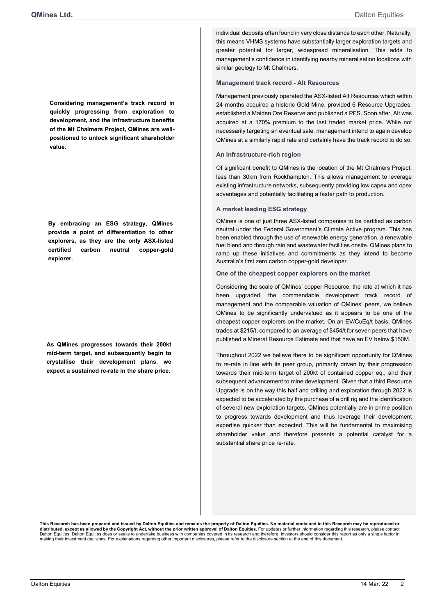Considering management's track record in quickly progressing from exploration to development, and the infrastructure benefits of the Mt Chalmers Project, QMines are wellpositioned to unlock significant shareholder value.

By embracing an ESG strategy, QMines provide a point of differentiation to other explorers, as they are the only ASX-listed certified carbon neutral copper-gold explorer.

As QMines progresses towards their 200kt mid-term target, and subsequently begin to crystallise their development plans, we expect a sustained re-rate in the share price.

individual deposits often found in very close distance to each other. Naturally, this means VHMS systems have substantially larger exploration targets and greater potential for larger, widespread mineralisation. This adds to management's confidence in identifying nearby mineralisation locations with similar geology to Mt Chalmers.

#### Management track record - Alt Resources

Management previously operated the ASX-listed Alt Resources which within 24 months acquired a historic Gold Mine, provided 6 Resource Upgrades, established a Maiden Ore Reserve and published a PFS. Soon after, Alt was acquired at a 170% premium to the last traded market price. While not necessarily targeting an eventual sale, management intend to again develop QMines at a similarly rapid rate and certainly have the track record to do so.

#### An infrastructure-rich region

Of significant benefit to QMines is the location of the Mt Chalmers Project, less than 30km from Rockhampton. This allows management to leverage existing infrastructure networks, subsequently providing low capex and opex advantages and potentially facilitating a faster path to production.

#### A market leading ESG strategy

QMines is one of just three ASX-listed companies to be certified as carbon neutral under the Federal Government's Climate Active program. This has been enabled through the use of renewable energy generation, a renewable fuel blend and through rain and wastewater facilities onsite. QMines plans to ramp up these initiatives and commitments as they intend to become Australia's first zero carbon copper-gold developer.

#### One of the cheapest copper explorers on the market

Considering the scale of QMines' copper Resource, the rate at which it has been upgraded, the commendable development track record management and the comparable valuation of QMines' peers, we believe QMines to be significantly undervalued as it appears to be one of the cheapest copper explorers on the market. On an EV/CuEq/t basis, QMines trades at \$215/t, compared to an average of \$454/t for seven peers that have published a Mineral Resource Estimate and that have an EV below \$150M.

Throughout 2022 we believe there to be significant opportunity for QMines to re-rate in line with its peer group, primarily driven by their progression towards their mid-term target of 200kt of contained copper eq., and their subsequent advancement to mine development. Given that a third Resource Upgrade is on the way this half and drilling and exploration through 2022 is expected to be accelerated by the purchase of a drill rig and the identification of several new exploration targets, QMines potentially are in prime position to progress towards development and thus leverage their development expertise quicker than expected. This will be fundamental to maximising shareholder value and therefore presents a potential catalyst for a substantial share price re-rate.

This Research has been prepared and issued by Dalton Equities and remains the property of Dalton Equities. No material contained in this Research may be reproduced or **distributed, except as allowed by the Copyright Act, without the prior written approval of Dalton Equities.** For updates or further information regarding this research, please contact<br>Dalton Equities. Dalton Equities does making their investment decisions. For explanations regarding other important disclosures, please refer to the disclosure section at the end of this document.